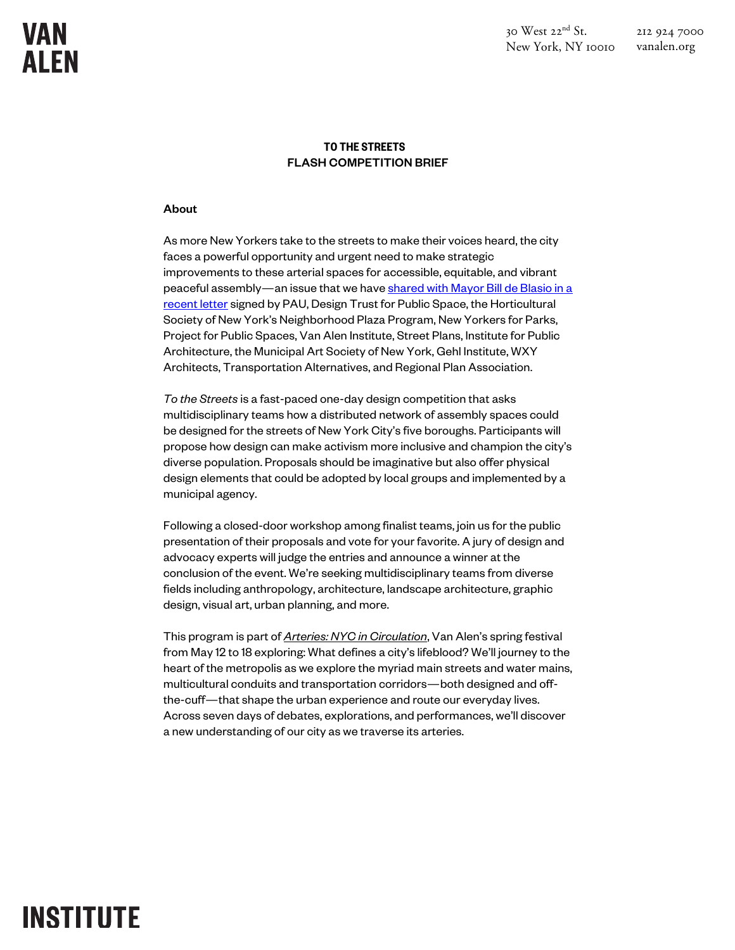$30$  West  $22<sup>nd</sup>$  St. New York, NY 10010 212 924 7000

### vanalen.org

### TO THE STREETS FLASH COMPETITION BRIEF

#### About

As more New Yorkers take to the streets to make their voices heard, the city faces a powerful opportunity and urgent need to make strategic improvements to these arterial spaces for accessible, equitable, and vibrant peaceful assembly—an issue that we have shared with Mayor Bill de Blasio in a recent letter signed by PAU, Design Trust for Public Space, the Horticultural Society of New York's Neighborhood Plaza Program, New Yorkers for Parks, Project for Public Spaces, Van Alen Institute, Street Plans, Institute for Public Architecture, the Municipal Art Society of New York, Gehl Institute, WXY Architects, Transportation Alternatives, and Regional Plan Association.

*To the Streets* is a fast-paced one-day design competition that asks multidisciplinary teams how a distributed network of assembly spaces could be designed for the streets of New York City's five boroughs. Participants will propose how design can make activism more inclusive and champion the city's diverse population. Proposals should be imaginative but also offer physical design elements that could be adopted by local groups and implemented by a municipal agency.

Following a closed-door workshop among finalist teams, join us for the public presentation of their proposals and vote for your favorite. A jury of design and advocacy experts will judge the entries and announce a winner at the conclusion of the event. We're seeking multidisciplinary teams from diverse fields including anthropology, architecture, landscape architecture, graphic design, visual art, urban planning, and more.

This program is part of *Arteries: NYC in Circulation*, Van Alen's spring festival from May 12 to 18 exploring: What defines a city's lifeblood? We'll journey to the heart of the metropolis as we explore the myriad main streets and water mains, multicultural conduits and transportation corridors—both designed and offthe-cuff—that shape the urban experience and route our everyday lives. Across seven days of debates, explorations, and performances, we'll discover a new understanding of our city as we traverse its arteries.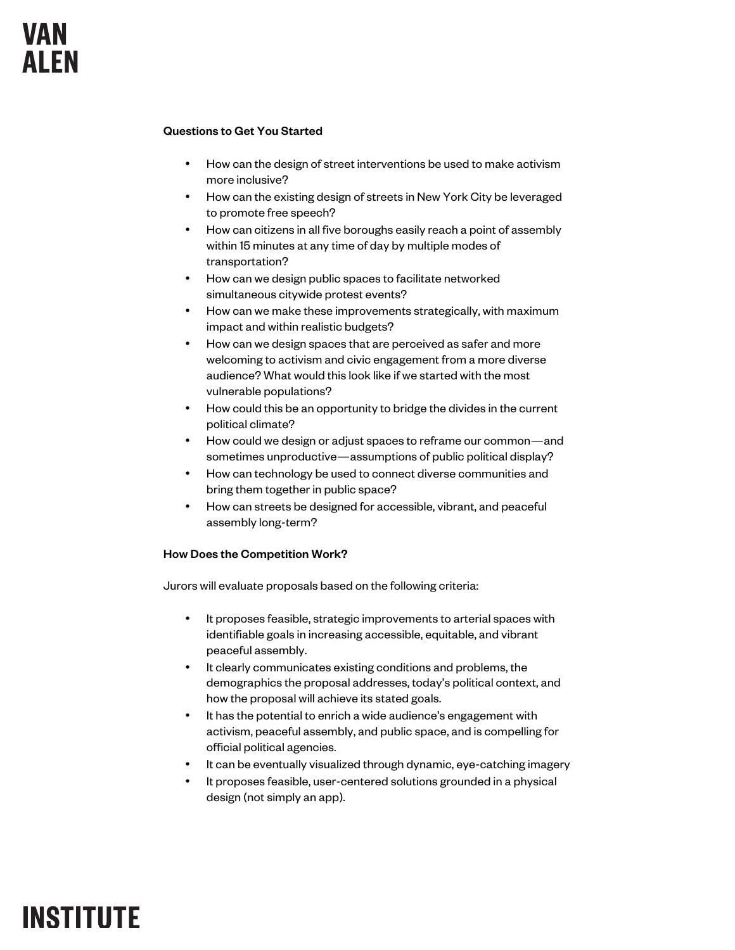#### Questions to Get You Started

- How can the design of street interventions be used to make activism more inclusive?
- How can the existing design of streets in New York City be leveraged to promote free speech?
- How can citizens in all five boroughs easily reach a point of assembly within 15 minutes at any time of day by multiple modes of transportation?
- How can we design public spaces to facilitate networked simultaneous citywide protest events?
- How can we make these improvements strategically, with maximum impact and within realistic budgets?
- How can we design spaces that are perceived as safer and more welcoming to activism and civic engagement from a more diverse audience? What would this look like if we started with the most vulnerable populations?
- How could this be an opportunity to bridge the divides in the current political climate?
- How could we design or adjust spaces to reframe our common—and sometimes unproductive—assumptions of public political display?
- How can technology be used to connect diverse communities and bring them together in public space?
- How can streets be designed for accessible, vibrant, and peaceful assembly long-term?

#### How Does the Competition Work?

Jurors will evaluate proposals based on the following criteria:

- It proposes feasible, strategic improvements to arterial spaces with identifiable goals in increasing accessible, equitable, and vibrant peaceful assembly.
- It clearly communicates existing conditions and problems, the demographics the proposal addresses, today's political context, and how the proposal will achieve its stated goals.
- It has the potential to enrich a wide audience's engagement with activism, peaceful assembly, and public space, and is compelling for official political agencies.
- It can be eventually visualized through dynamic, eye-catching imagery
- It proposes feasible, user-centered solutions grounded in a physical design (not simply an app).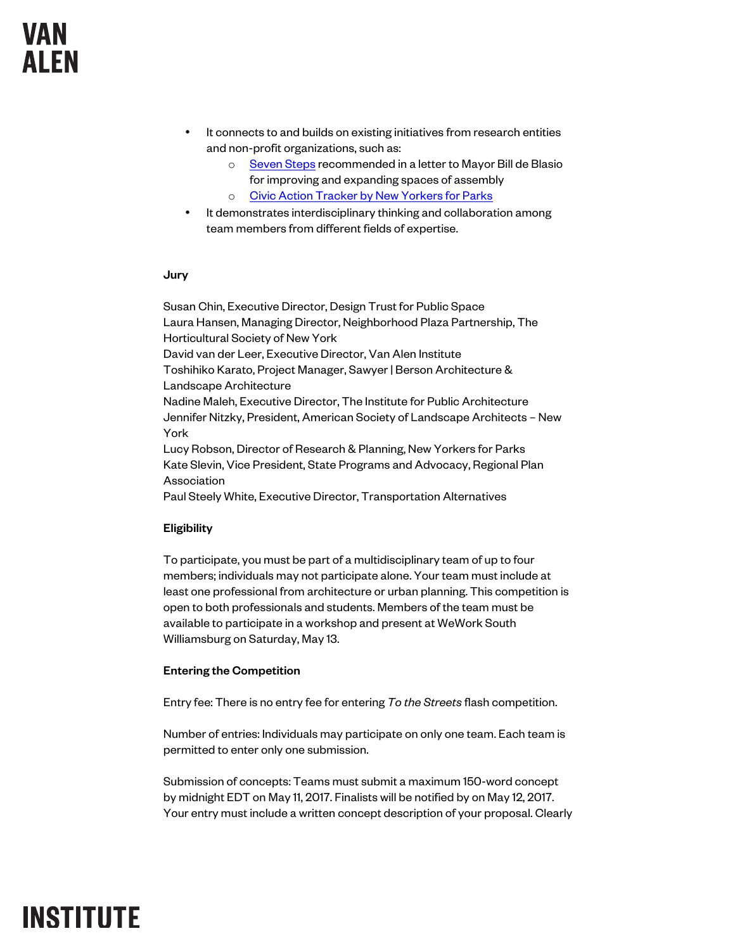### **VAN AIFN**

- It connects to and builds on existing initiatives from research entities and non-profit organizations, such as:
	- o Seven Steps recommended in a letter to Mayor Bill de Blasio for improving and expanding spaces of assembly
	- o Civic Action Tracker by New Yorkers for Parks
- It demonstrates interdisciplinary thinking and collaboration among team members from different fields of expertise.

#### Jury

Susan Chin, Executive Director, Design Trust for Public Space Laura Hansen, Managing Director, Neighborhood Plaza Partnership, The Horticultural Society of New York David van der Leer, Executive Director, Van Alen Institute Toshihiko Karato, Project Manager, Sawyer | Berson Architecture & Landscape Architecture Nadine Maleh, Executive Director, The Institute for Public Architecture Jennifer Nitzky, President, American Society of Landscape Architects – New York Lucy Robson, Director of Research & Planning, New Yorkers for Parks Kate Slevin, Vice President, State Programs and Advocacy, Regional Plan Association

Paul Steely White, Executive Director, Transportation Alternatives

### Eligibility

To participate, you must be part of a multidisciplinary team of up to four members; individuals may not participate alone. Your team must include at least one professional from architecture or urban planning. This competition is open to both professionals and students. Members of the team must be available to participate in a workshop and present at WeWork South Williamsburg on Saturday, May 13.

### Entering the Competition

Entry fee: There is no entry fee for entering *To the Streets* flash competition.

Number of entries: Individuals may participate on only one team. Each team is permitted to enter only one submission.

Submission of concepts: Teams must submit a maximum 150-word concept by midnight EDT on May 11, 2017. Finalists will be notified by on May 12, 2017. Your entry must include a written concept description of your proposal. Clearly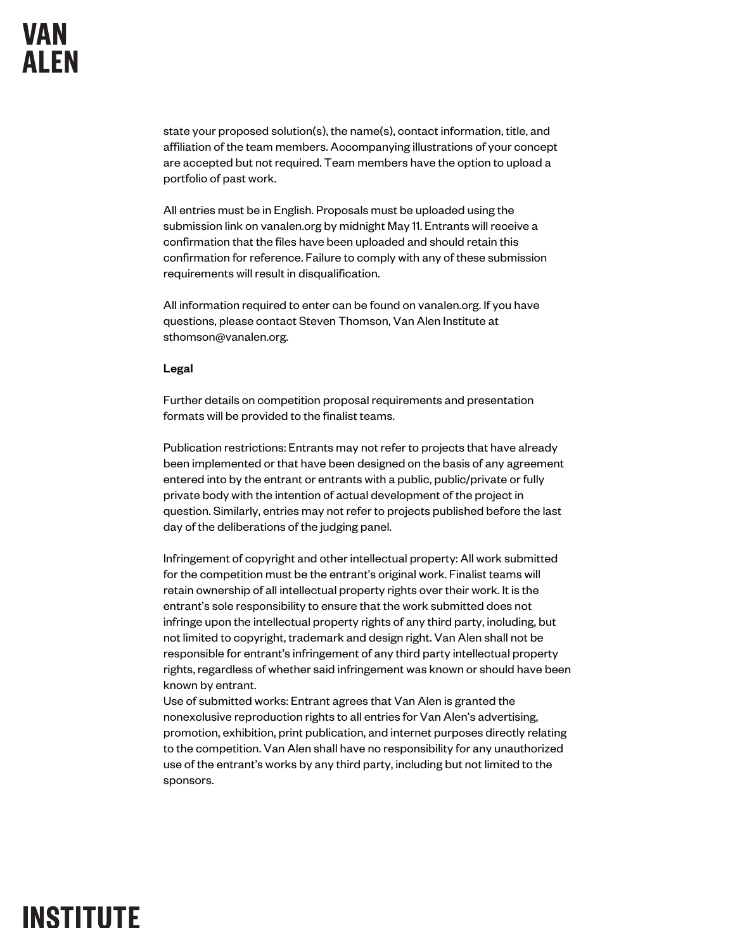state your proposed solution(s), the name(s), contact information, title, and affiliation of the team members. Accompanying illustrations of your concept are accepted but not required. Team members have the option to upload a portfolio of past work.

All entries must be in English. Proposals must be uploaded using the submission link on vanalen.org by midnight May 11. Entrants will receive a confirmation that the files have been uploaded and should retain this confirmation for reference. Failure to comply with any of these submission requirements will result in disqualification.

All information required to enter can be found on vanalen.org. If you have questions, please contact Steven Thomson, Van Alen Institute at sthomson@vanalen.org.

#### Legal

Further details on competition proposal requirements and presentation formats will be provided to the finalist teams.

Publication restrictions: Entrants may not refer to projects that have already been implemented or that have been designed on the basis of any agreement entered into by the entrant or entrants with a public, public/private or fully private body with the intention of actual development of the project in question. Similarly, entries may not refer to projects published before the last day of the deliberations of the judging panel.

Infringement of copyright and other intellectual property: All work submitted for the competition must be the entrant's original work. Finalist teams will retain ownership of all intellectual property rights over their work. It is the entrant's sole responsibility to ensure that the work submitted does not infringe upon the intellectual property rights of any third party, including, but not limited to copyright, trademark and design right. Van Alen shall not be responsible for entrant's infringement of any third party intellectual property rights, regardless of whether said infringement was known or should have been known by entrant.

Use of submitted works: Entrant agrees that Van Alen is granted the nonexclusive reproduction rights to all entries for Van Alen's advertising, promotion, exhibition, print publication, and internet purposes directly relating to the competition. Van Alen shall have no responsibility for any unauthorized use of the entrant's works by any third party, including but not limited to the sponsors.